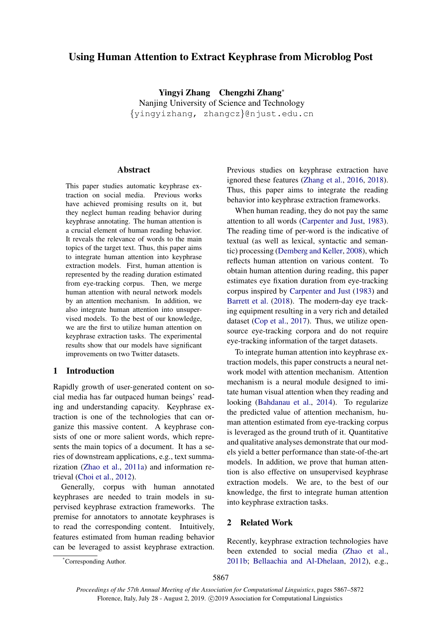# Using Human Attention to Extract Keyphrase from Microblog Post

Yingyi Zhang Chengzhi Zhang<sup>∗</sup> Nanjing University of Science and Technology {yingyizhang, zhangcz}@njust.edu.cn

## Abstract

This paper studies automatic keyphrase extraction on social media. Previous works have achieved promising results on it, but they neglect human reading behavior during keyphrase annotating. The human attention is a crucial element of human reading behavior. It reveals the relevance of words to the main topics of the target text. Thus, this paper aims to integrate human attention into keyphrase extraction models. First, human attention is represented by the reading duration estimated from eye-tracking corpus. Then, we merge human attention with neural network models by an attention mechanism. In addition, we also integrate human attention into unsupervised models. To the best of our knowledge, we are the first to utilize human attention on keyphrase extraction tasks. The experimental results show that our models have significant improvements on two Twitter datasets.

#### 1 Introduction

Rapidly growth of user-generated content on social media has far outpaced human beings' reading and understanding capacity. Keyphrase extraction is one of the technologies that can organize this massive content. A keyphrase consists of one or more salient words, which represents the main topics of a document. It has a series of downstream applications, e.g., text summarization [\(Zhao et al.,](#page-5-0) [2011a\)](#page-5-0) and information retrieval [\(Choi et al.,](#page-5-1) [2012\)](#page-5-1).

Generally, corpus with human annotated keyphrases are needed to train models in supervised keyphrase extraction frameworks. The premise for annotators to annotate keyphrases is to read the corresponding content. Intuitively, features estimated from human reading behavior can be leveraged to assist keyphrase extraction. Previous studies on keyphrase extraction have ignored these features [\(Zhang et al.,](#page-5-2) [2016,](#page-5-2) [2018\)](#page-5-3). Thus, this paper aims to integrate the reading behavior into keyphrase extraction frameworks.

When human reading, they do not pay the same attention to all words [\(Carpenter and Just,](#page-5-4) [1983\)](#page-5-4). The reading time of per-word is the indicative of textual (as well as lexical, syntactic and semantic) processing [\(Demberg and Keller,](#page-5-5) [2008\)](#page-5-5), which reflects human attention on various content. To obtain human attention during reading, this paper estimates eye fixation duration from eye-tracking corpus inspired by [Carpenter and Just](#page-5-4) [\(1983\)](#page-5-4) and [Barrett et al.](#page-5-6) [\(2018\)](#page-5-6). The modern-day eye tracking equipment resulting in a very rich and detailed dataset [\(Cop et al.,](#page-5-7) [2017\)](#page-5-7). Thus, we utilize opensource eye-tracking corpora and do not require eye-tracking information of the target datasets.

To integrate human attention into keyphrase extraction models, this paper constructs a neural network model with attention mechanism. Attention mechanism is a neural module designed to imitate human visual attention when they reading and looking [\(Bahdanau et al.,](#page-5-8) [2014\)](#page-5-8). To regularize the predicted value of attention mechanism, human attention estimated from eye-tracking corpus is leveraged as the ground truth of it. Quantitative and qualitative analyses demonstrate that our models yield a better performance than state-of-the-art models. In addition, we prove that human attention is also effective on unsupervised keyphrase extraction models. We are, to the best of our knowledge, the first to integrate human attention into keyphrase extraction tasks.

## 2 Related Work

Recently, keyphrase extraction technologies have been extended to social media [\(Zhao et al.,](#page-5-9) [2011b;](#page-5-9) [Bellaachia and Al-Dhelaan,](#page-5-10) [2012\)](#page-5-10), e.g.,

<sup>\*</sup>Corresponding Author.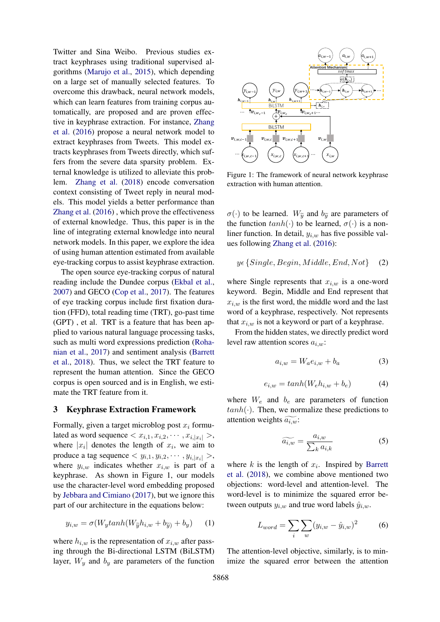Twitter and Sina Weibo. Previous studies extract keyphrases using traditional supervised algorithms [\(Marujo et al.,](#page-5-11) [2015\)](#page-5-11), which depending on a large set of manually selected features. To overcome this drawback, neural network models, which can learn features from training corpus automatically, are proposed and are proven effective in keyphrase extraction. For instance, [Zhang](#page-5-2) [et al.](#page-5-2) [\(2016\)](#page-5-2) propose a neural network model to extract keyphrases from Tweets. This model extracts keyphrases from Tweets directly, which suffers from the severe data sparsity problem. External knowledge is utilized to alleviate this problem. [Zhang et al.](#page-5-3) [\(2018\)](#page-5-3) encode conversation context consisting of Tweet reply in neural models. This model yields a better performance than [Zhang et al.](#page-5-2) [\(2016\)](#page-5-2) , which prove the effectiveness of external knowledge. Thus, this paper is in the line of integrating external knowledge into neural network models. In this paper, we explore the idea of using human attention estimated from available eye-tracking corpus to assist keyphrase extraction.

The open source eye-tracking corpus of natural reading include the Dundee corpus [\(Ekbal et al.,](#page-5-12) [2007\)](#page-5-12) and GECO [\(Cop et al.,](#page-5-7) [2017\)](#page-5-7). The features of eye tracking corpus include first fixation duration (FFD), total reading time (TRT), go-past time (GPT) , et al. TRT is a feature that has been applied to various natural language processing tasks, such as multi word expressions prediction [\(Roha](#page-5-13)[nian et al.,](#page-5-13) [2017\)](#page-5-13) and sentiment analysis [\(Barrett](#page-5-6) [et al.,](#page-5-6) [2018\)](#page-5-6). Thus, we select the TRT feature to represent the human attention. Since the GECO corpus is open sourced and is in English, we estimate the TRT feature from it.

#### 3 Keyphrase Extraction Framework

Formally, given a target microblog post  $x_i$  formulated as word sequence  $\langle x_{i,1}, x_{i,2}, \cdots, x_{i,|x_i|} \rangle$ , where  $|x_i|$  denotes the length of  $x_i$ , we aim to produce a tag sequence  $\langle y_{i,1}, y_{i,2}, \cdots, y_{i,|x_i|} \rangle$ , where  $y_{i,w}$  indicates whether  $x_{i,w}$  is part of a keyphrase. As shown in Figure 1, our models use the character-level word embedding proposed by [Jebbara and Cimiano](#page-5-14) [\(2017\)](#page-5-14), but we ignore this part of our architecture in the equations below:

$$
y_{i,w} = \sigma(W_y \tanh(W_{\widetilde{y}} h_{i,w} + b_{\widetilde{y}}) + b_y) \qquad (1)
$$

where  $h_{i,w}$  is the representation of  $x_{i,w}$  after passing through the Bi-directional LSTM (BiLSTM) layer,  $W_y$  and  $b_y$  are parameters of the function



Figure 1: The framework of neural network keyphrase extraction with human attention.

 $\sigma(\cdot)$  to be learned.  $W_{\widetilde{u}}$  and  $b_{\widetilde{u}}$  are parameters of the function  $tanh(\cdot)$  to be learned,  $\sigma(\cdot)$  is a nonliner function. In detail,  $y_{i,w}$  has five possible values following [Zhang et al.](#page-5-2) [\(2016\)](#page-5-2):

<span id="page-1-0"></span>
$$
y \in \{Single, Begin, Middle, End, Not\} \quad (2)
$$

where Single represents that  $x_{i,w}$  is a one-word keyword. Begin, Middle and End represent that  $x_{i,w}$  is the first word, the middle word and the last word of a keyphrase, respectively. Not represents that  $x_{i,w}$  is not a keyword or part of a keyphrase.

From the hidden states, we directly predict word level raw attention scores  $a_{i,w}$ :

$$
a_{i,w} = W_a e_{i,w} + b_a \tag{3}
$$

$$
e_{i,w} = \tanh(W_e h_{i,w} + b_e) \tag{4}
$$

where  $W_e$  and  $b_e$  are parameters of function  $tanh(\cdot)$ . Then, we normalize these predictions to attention weights  $\widetilde{a_{i,w}}$ :

$$
\widetilde{a_{i,w}} = \frac{a_{i,w}}{\sum_{k} a_{i,k}}\tag{5}
$$

where  $k$  is the length of  $x_i$ . Inspired by [Barrett](#page-5-6) [et al.](#page-5-6) [\(2018\)](#page-5-6), we combine above mentioned two objections: word-level and attention-level. The word-level is to minimize the squared error between outputs  $y_{i,w}$  and true word labels  $\hat{y}_{i,w}$ .

$$
L_{word} = \sum_{i} \sum_{w} (y_{i,w} - \hat{y}_{i,w})^2
$$
 (6)

The attention-level objective, similarly, is to minimize the squared error between the attention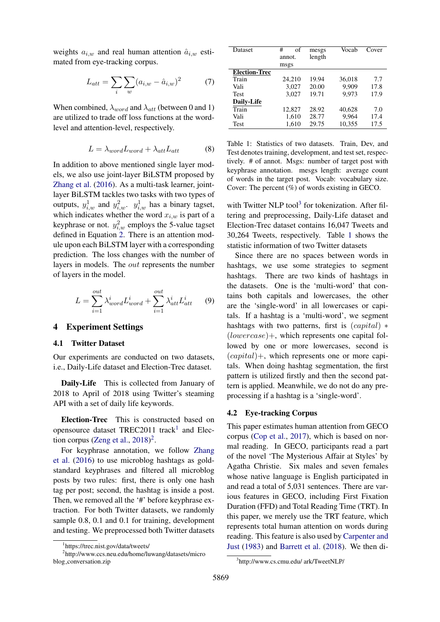weights  $a_{i,w}$  and real human attention  $\hat{a}_{i,w}$  estimated from eye-tracking corpus.

$$
L_{att} = \sum_{i} \sum_{w} (a_{i,w} - \hat{a}_{i,w})^2
$$
 (7)

When combined,  $\lambda_{word}$  and  $\lambda_{att}$  (between 0 and 1) are utilized to trade off loss functions at the wordlevel and attention-level, respectively.

$$
L = \lambda_{word} L_{word} + \lambda_{att} L_{att} \tag{8}
$$

In addition to above mentioned single layer models, we also use joint-layer BiLSTM proposed by [Zhang et al.](#page-5-2) [\(2016\)](#page-5-2). As a multi-task learner, jointlayer BiLSTM tackles two tasks with two types of outputs,  $y_{i,w}^1$  and  $y_{i,w}^2$ .  $y_{i,w}^1$  has a binary tagset, which indicates whether the word  $x_{i,w}$  is part of a keyphrase or not.  $y_{i,w}^2$  employs the 5-value tagset defined in Equation [2.](#page-1-0) There is an attention module upon each BiLSTM layer with a corresponding prediction. The loss changes with the number of layers in models. The out represents the number of layers in the model.

$$
L = \sum_{i=1}^{out} \lambda_{word}^i L_{word}^i + \sum_{i=1}^{out} \lambda_{att}^i L_{att}^i \qquad (9)
$$

## 4 Experiment Settings

#### 4.1 Twitter Dataset

Our experiments are conducted on two datasets, i.e., Daily-Life dataset and Election-Trec dataset.

Daily-Life This is collected from January of 2018 to April of 2018 using Twitter's steaming API with a set of daily life keywords.

Election-Trec This is constructed based on opensource dataset TREC20[1](#page-2-0)1 track<sup>1</sup> and Elec-tion corpus [\(Zeng et al.,](#page-5-15)  $2018)^2$  $2018)^2$  $2018)^2$ .

For keyphrase annotation, we follow [Zhang](#page-5-2) [et al.](#page-5-2) [\(2016\)](#page-5-2) to use microblog hashtags as goldstandard keyphrases and filtered all microblog posts by two rules: first, there is only one hash tag per post; second, the hashtag is inside a post. Then, we removed all the '#' before keyphrase extraction. For both Twitter datasets, we randomly sample 0.8, 0.1 and 0.1 for training, development and testing. We preprocessed both Twitter datasets

<span id="page-2-3"></span>

| Dataset              | #<br>of | mesgs  | Vocab  | Cover |
|----------------------|---------|--------|--------|-------|
|                      |         |        |        |       |
|                      | annot.  | length |        |       |
|                      | msgs    |        |        |       |
| <b>Election-Trec</b> |         |        |        |       |
| Train                | 24,210  | 19.94  | 36.018 | 7.7   |
| Vali                 | 3,027   | 20.00  | 9.909  | 17.8  |
| <b>Test</b>          | 3,027   | 19.71  | 9.973  | 17.9  |
| Daily-Life           |         |        |        |       |
| Train                | 12.827  | 28.92  | 40.628 | 7.0   |
| Vali                 | 1,610   | 28.77  | 9.964  | 17.4  |
| Test                 | 1,610   | 29.75  | 10,355 | 17.5  |
|                      |         |        |        |       |

Table 1: Statistics of two datasets. Train, Dev, and Test denotes training, development, and test set, respectively. # of annot. Msgs: number of target post with keyphrase annotation. mesgs length: average count of words in the target post. Vocab: vocabulary size. Cover: The percent (%) of words existing in GECO.

with Twitter NLP tool<sup>[3](#page-2-2)</sup> for tokenization. After filtering and preprocessing, Daily-Life dataset and Election-Trec dataset contains 16,047 Tweets and 30,264 Tweets, respectively. Table [1](#page-2-3) shows the statistic information of two Twitter datasets

Since there are no spaces between words in hashtags, we use some strategies to segment hashtags. There are two kinds of hashtags in the datasets. One is the 'multi-word' that contains both capitals and lowercases, the other are the 'single-word' in all lowercases or capitals. If a hashtag is a 'multi-word', we segment hashtags with two patterns, first is  $(capital)$  \*  $(louvercase)$  +, which represents one capital followed by one or more lowercases, second is  $(capital)$ +, which represents one or more capitals. When doing hashtag segmentation, the first pattern is utilized firstly and then the second pattern is applied. Meanwhile, we do not do any preprocessing if a hashtag is a 'single-word'.

## 4.2 Eye-tracking Corpus

This paper estimates human attention from GECO corpus [\(Cop et al.,](#page-5-7) [2017\)](#page-5-7), which is based on normal reading. In GECO, participants read a part of the novel 'The Mysterious Affair at Styles' by Agatha Christie. Six males and seven females whose native language is English participated in and read a total of 5,031 sentences. There are various features in GECO, including First Fixation Duration (FFD) and Total Reading Time (TRT). In this paper, we merely use the TRT feature, which represents total human attention on words during reading. This feature is also used by [Carpenter and](#page-5-4) [Just](#page-5-4) [\(1983\)](#page-5-4) and [Barrett et al.](#page-5-6) [\(2018\)](#page-5-6). We then di-

<span id="page-2-1"></span><span id="page-2-0"></span><sup>1</sup> https://trec.nist.gov/data/tweets/

<sup>2</sup> http://www.ccs.neu.edu/home/luwang/datasets/micro blog conversation.zip

<span id="page-2-2"></span><sup>3</sup> http://www.cs.cmu.edu/ ark/TweetNLP/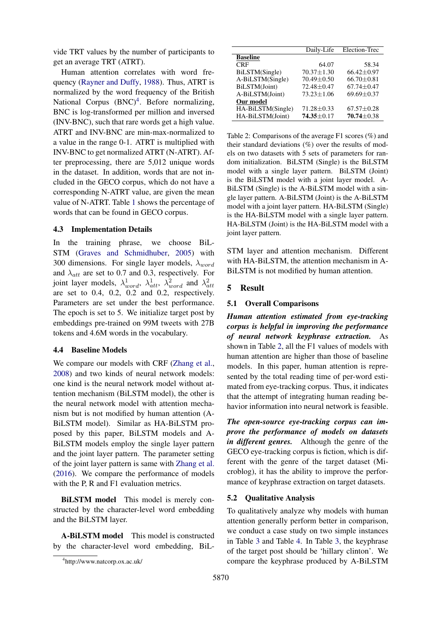vide TRT values by the number of participants to get an average TRT (ATRT).

Human attention correlates with word frequency [\(Rayner and Duffy,](#page-5-16) [1988\)](#page-5-16). Thus, ATRT is normalized by the word frequency of the British National Corpus (BNC)<sup>[4](#page-3-0)</sup>. Before normalizing, BNC is log-transformed per million and inversed (INV-BNC), such that rare words get a high value. ATRT and INV-BNC are min-max-normalized to a value in the range 0-1. ATRT is multiplied with INV-BNC to get normalized ATRT (N-ATRT). After preprocessing, there are 5,012 unique words in the dataset. In addition, words that are not included in the GECO corpus, which do not have a corresponding N-ATRT value, are given the mean value of N-ATRT. Table [1](#page-2-3) shows the percentage of words that can be found in GECO corpus.

## 4.3 Implementation Details

In the training phrase, we choose BiL-STM [\(Graves and Schmidhuber,](#page-5-17) [2005\)](#page-5-17) with 300 dimensions. For single layer models,  $\lambda_{word}$ and  $\lambda_{att}$  are set to 0.7 and 0.3, respectively. For joint layer models,  $\lambda_{word}^1$ ,  $\lambda_{att}^1$ ,  $\lambda_{word}^2$  and  $\lambda_{att}^2$ are set to 0.4, 0.2, 0.2 and 0.2, respectively. Parameters are set under the best performance. The epoch is set to 5. We initialize target post by embeddings pre-trained on 99M tweets with 27B tokens and 4.6M words in the vocabulary.

## 4.4 Baseline Models

We compare our models with CRF [\(Zhang et al.,](#page-5-18) [2008\)](#page-5-18) and two kinds of neural network models: one kind is the neural network model without attention mechanism (BiLSTM model), the other is the neural network model with attention mechanism but is not modified by human attention (A-BiLSTM model). Similar as HA-BiLSTM proposed by this paper, BiLSTM models and A-BiLSTM models employ the single layer pattern and the joint layer pattern. The parameter setting of the joint layer pattern is same with [Zhang et al.](#page-5-2) [\(2016\)](#page-5-2). We compare the performance of models with the P, R and F1 evaluation metrics.

BiLSTM model This model is merely constructed by the character-level word embedding and the BiLSTM layer.

A-BiLSTM model This model is constructed by the character-level word embedding, BiL-

<span id="page-3-1"></span>

| Daily-Life       | Election-Trec    |
|------------------|------------------|
|                  |                  |
| 64.07            | 58.34            |
| $70.37 \pm 1.30$ | $66.42 \pm 0.97$ |
| $70.49 \pm 0.50$ | $66.70 \pm 0.81$ |
| $72.48 + 0.47$   | $67.74 + 0.47$   |
| $73.23 \pm 1.06$ | $69.69 \pm 0.37$ |
|                  |                  |
| $71.28 \pm 0.33$ | $67.57 \pm 0.28$ |
| $74.35 + 0.17$   | $70.74 \pm 0.38$ |
|                  |                  |

Table 2: Comparisons of the average F1 scores (%) and their standard deviations  $(\%)$  over the results of models on two datasets with 5 sets of parameters for random initialization. BiLSTM (Single) is the BiLSTM model with a single layer pattern. BiLSTM (Joint) is the BiLSTM model with a joint layer model. A-BiLSTM (Single) is the A-BiLSTM model with a single layer pattern. A-BiLSTM (Joint) is the A-BiLSTM model with a joint layer pattern. HA-BiLSTM (Single) is the HA-BiLSTM model with a single layer pattern. HA-BiLSTM (Joint) is the HA-BiLSTM model with a joint layer pattern.

STM layer and attention mechanism. Different with HA-BiLSTM, the attention mechanism in A-BiLSTM is not modified by human attention.

#### 5 Result

#### 5.1 Overall Comparisons

*Human attention estimated from eye-tracking corpus is helpful in improving the performance of neural network keyphrase extraction.* As shown in Table [2,](#page-3-1) all the F1 values of models with human attention are higher than those of baseline models. In this paper, human attention is represented by the total reading time of per-word estimated from eye-tracking corpus. Thus, it indicates that the attempt of integrating human reading behavior information into neural network is feasible.

*The open-source eye-tracking corpus can improve the performance of models on datasets in different genres.* Although the genre of the GECO eye-tracking corpus is fiction, which is different with the genre of the target dataset (Microblog), it has the ability to improve the performance of keyphrase extraction on target datasets.

#### 5.2 Qualitative Analysis

To qualitatively analyze why models with human attention generally perform better in comparison, we conduct a case study on two simple instances in Table [3](#page-4-0) and Table [4.](#page-4-1) In Table [3,](#page-4-0) the keyphrase of the target post should be 'hillary clinton'. We compare the keyphrase produced by A-BiLSTM

<span id="page-3-0"></span><sup>4</sup> http://www.natcorp.ox.ac.uk/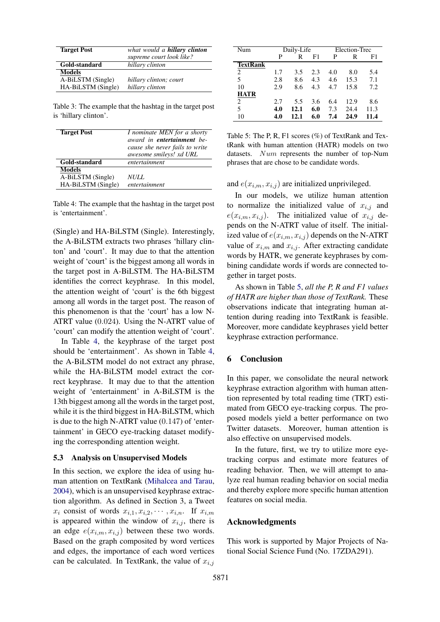<span id="page-4-0"></span>

| <b>Target Post</b> | what would a <b>hillary clinton</b> |  |  |  |
|--------------------|-------------------------------------|--|--|--|
|                    | supreme court look like?            |  |  |  |
| Gold-standard      | hillary clinton                     |  |  |  |
| <b>Models</b>      |                                     |  |  |  |
| A-BiLSTM (Single)  | hillary clinton; court              |  |  |  |
| HA-BiLSTM (Single) | hillary clinton                     |  |  |  |

Table 3: The example that the hashtag in the target post is 'hillary clinton'.

<span id="page-4-1"></span>

| <b>Target Post</b> | I nominate MEN for a shorty<br>award in <b>entertainment</b> be-<br>cause she never fails to write<br>awesome smileys! xd URL |  |  |
|--------------------|-------------------------------------------------------------------------------------------------------------------------------|--|--|
| Gold-standard      | entertainment                                                                                                                 |  |  |
| <b>Models</b>      |                                                                                                                               |  |  |
| A-BiLSTM (Single)  | NULL.                                                                                                                         |  |  |
| HA-BiLSTM (Single) | entertainment                                                                                                                 |  |  |

Table 4: The example that the hashtag in the target post is 'entertainment'.

(Single) and HA-BiLSTM (Single). Interestingly, the A-BiLSTM extracts two phrases 'hillary clinton' and 'court'. It may due to that the attention weight of 'court' is the biggest among all words in the target post in A-BiLSTM. The HA-BiLSTM identifies the correct keyphrase. In this model, the attention weight of 'court' is the 6th biggest among all words in the target post. The reason of this phenomenon is that the 'court' has a low N-ATRT value (0.024). Using the N-ATRT value of 'court' can modify the attention weight of 'court'.

In Table [4,](#page-4-1) the keyphrase of the target post should be 'entertainment'. As shown in Table [4,](#page-4-1) the A-BiLSTM model do not extract any phrase, while the HA-BiLSTM model extract the correct keyphrase. It may due to that the attention weight of 'entertainment' in A-BiLSTM is the 13th biggest among all the words in the target post, while it is the third biggest in HA-BiLSTM, which is due to the high N-ATRT value (0.147) of 'entertainment' in GECO eye-tracking dataset modifying the corresponding attention weight.

#### 5.3 Analysis on Unsupervised Models

In this section, we explore the idea of using human attention on TextRank [\(Mihalcea and Tarau,](#page-5-19) [2004\)](#page-5-19), which is an unsupervised keyphrase extraction algorithm. As defined in Section 3, a Tweet  $x_i$  consist of words  $x_{i,1}, x_{i,2}, \cdots, x_{i,n}$ . If  $x_{i,m}$ is appeared within the window of  $x_{i,j}$ , there is an edge  $e(x_{i,m}, x_{i,j})$  between these two words. Based on the graph composited by word vertices and edges, the importance of each word vertices can be calculated. In TextRank, the value of  $x_{i,j}$ 

<span id="page-4-2"></span>

| Num         | Daily-Life |      |     | Election-Trec |      |      |
|-------------|------------|------|-----|---------------|------|------|
|             | P          | R    | F1  | P             | R    | F1   |
| TextRank    |            |      |     |               |      |      |
| 2           | 1.7        | 3.5  | 2.3 | 4.0           | 8.0  | 5.4  |
| 5           | 2.8        | 8.6  | 4.3 | 4.6           | 15.3 | 7.1  |
| 10          | 2.9        | 8.6  | 4.3 | 4.7           | 15.8 | 7.2  |
| <b>HATR</b> |            |      |     |               |      |      |
| 2           | 2.7        | 5.5  | 3.6 | 6.4           | 12.9 | 8.6  |
| 5           | 4.0        | 12.1 | 6.0 | 7.3           | 24.4 | 11.3 |
| 10          | 4.0        | 12.1 | 6.0 | 7.4           | 24.9 | 11.4 |

Table 5: The P, R, F1 scores (%) of TextRank and TextRank with human attention (HATR) models on two datasets. Num represents the number of top-Num phrases that are chose to be candidate words.

and  $e(x_{i,m}, x_{i,j})$  are initialized unprivileged.

In our models, we utilize human attention to normalize the initialized value of  $x_{i,j}$  and  $e(x_{i,m}, x_{i,j})$ . The initialized value of  $x_{i,j}$  depends on the N-ATRT value of itself. The initialized value of  $e(x_{i,m}, x_{i,j})$  depends on the N-ATRT value of  $x_{i,m}$  and  $x_{i,j}$ . After extracting candidate words by HATR, we generate keyphrases by combining candidate words if words are connected together in target posts.

As shown in Table [5,](#page-4-2) *all the P, R and F1 values of HATR are higher than those of TextRank.* These observations indicate that integrating human attention during reading into TextRank is feasible. Moreover, more candidate keyphrases yield better keyphrase extraction performance.

## 6 Conclusion

In this paper, we consolidate the neural network keyphrase extraction algorithm with human attention represented by total reading time (TRT) estimated from GECO eye-tracking corpus. The proposed models yield a better performance on two Twitter datasets. Moreover, human attention is also effective on unsupervised models.

In the future, first, we try to utilize more eyetracking corpus and estimate more features of reading behavior. Then, we will attempt to analyze real human reading behavior on social media and thereby explore more specific human attention features on social media.

## Acknowledgments

This work is supported by Major Projects of National Social Science Fund (No. 17ZDA291).